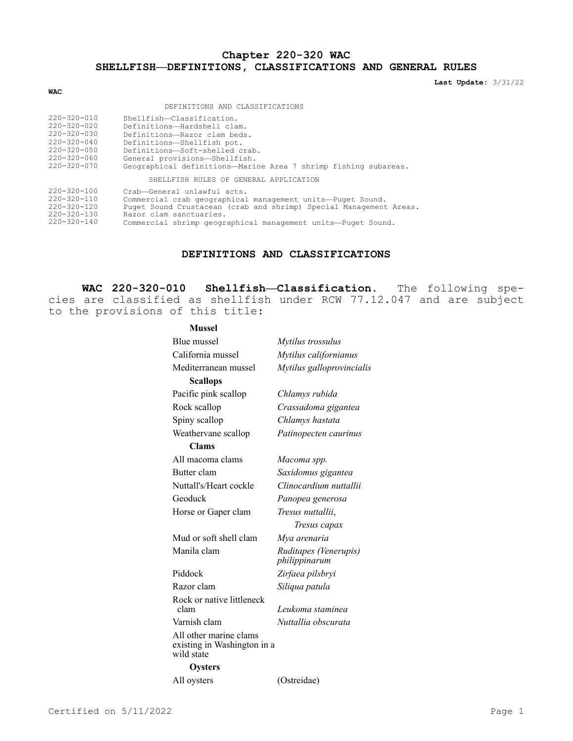# **Chapter 220-320 WAC SHELLFISH—DEFINITIONS, CLASSIFICATIONS AND GENERAL RULES**

**Last Update:** 3/31/22

#### **WAC**

DEFINITIONS AND CLASSIFICATIONS

| $220 - 320 - 010$ | Shellfish-Classification.                                       |
|-------------------|-----------------------------------------------------------------|
| $220 - 320 - 020$ | Definitions-Hardshell clam.                                     |
| $220 - 320 - 030$ | Definitions-Razor clam beds.                                    |
| $220 - 320 - 040$ | Definitions-Shellfish pot.                                      |
| $220 - 320 - 050$ | Definitions-Soft-shelled crab.                                  |
| 220-320-060       | General provisions-Shellfish.                                   |
| $220 - 320 - 070$ | Geographical definitions-Marine Area 7 shrimp fishing subareas. |
|                   | SHELLFISH RULES OF GENERAL APPLICATION                          |

| $220 - 320 - 100$ | Crab-General unlawful acts.                                        |
|-------------------|--------------------------------------------------------------------|
| $220 - 320 - 110$ | Commercial crab geographical management units-Puget Sound.         |
| $220 - 320 - 120$ | Puget Sound Crustacean (crab and shrimp) Special Management Areas. |
| $220 - 320 - 130$ | Razor clam sanctuaries.                                            |
| $220 - 320 - 140$ | Commercial shrimp geographical management units-Puget Sound.       |

## **DEFINITIONS AND CLASSIFICATIONS**

**WAC 220-320-010 Shellfish—Classification.** The following species are classified as shellfish under RCW 77.12.047 and are subject to the provisions of this title:

#### **Mussel**

| Blue mussel                                                         | Mytilus trossulus                      |
|---------------------------------------------------------------------|----------------------------------------|
| California mussel                                                   | Mytilus californianus                  |
| Mediterranean mussel                                                | Mytilus galloprovincialis              |
| <b>Scallops</b>                                                     |                                        |
| Pacific pink scallop                                                | Chlamys rubida                         |
| Rock scallop                                                        | Crassadoma gigantea                    |
| Spiny scallop                                                       | Chlamys hastata                        |
| Weathervane scallop                                                 | Patinopecten caurinus                  |
| Clams                                                               |                                        |
| All macoma clams                                                    | Macoma spp.                            |
| Butter clam                                                         | Saxidomus gigantea                     |
| Nuttall's/Heart cockle                                              | Clinocardium nuttallii                 |
| Geoduck                                                             | Panopea generosa                       |
| Horse or Gaper clam                                                 | Tresus nuttallii,                      |
|                                                                     | Tresus capax                           |
| Mud or soft shell clam                                              | Mya arenaria                           |
| Manila clam                                                         | Ruditapes (Venerupis)<br>philippinarum |
| Piddock                                                             | Zirfaea pilsbryi                       |
| Razor clam                                                          | Siliqua patula                         |
| Rock or native littleneck<br>clam                                   | Leukoma staminea                       |
| Varnish clam                                                        | Nuttallia obscurata                    |
| All other marine clams<br>existing in Washington in a<br>wild state |                                        |
| Oysters                                                             |                                        |
| All oysters                                                         | (Ostreidae)                            |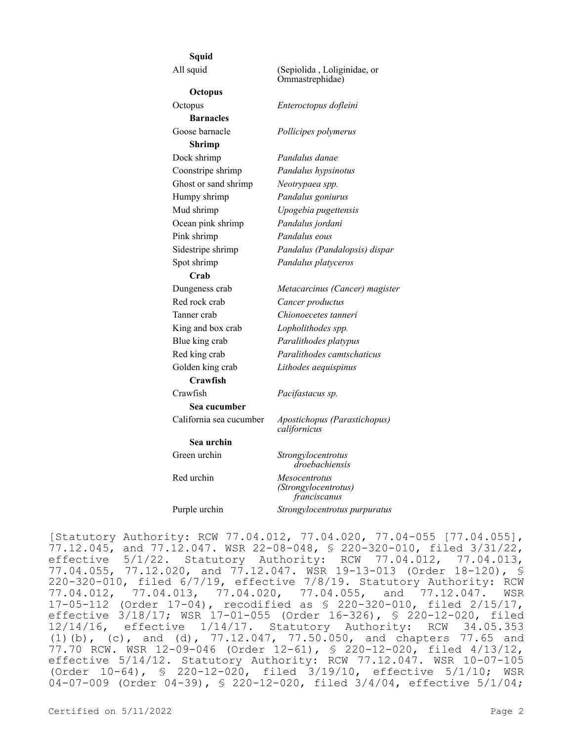| Squid                   |                                                       |
|-------------------------|-------------------------------------------------------|
| All squid               | (Sepiolida, Loliginidae, or<br>Ommastrephidae)        |
| Octopus                 |                                                       |
| Octopus                 | Enteroctopus dofleini                                 |
| <b>Barnacles</b>        |                                                       |
| Goose barnacle          | Pollicipes polymerus                                  |
| <b>Shrimp</b>           |                                                       |
| Dock shrimp             | Pandalus danae                                        |
| Coonstripe shrimp       | Pandalus hypsinotus                                   |
| Ghost or sand shrimp    | Neotrypaea spp.                                       |
| Humpy shrimp            | Pandalus goniurus                                     |
| Mud shrimp              | Upogebia pugettensis                                  |
| Ocean pink shrimp       | Pandalus jordani                                      |
| Pink shrimp             | Pandalus eous                                         |
| Sidestripe shrimp       | Pandalus (Pandalopsis) dispar                         |
| Spot shrimp             | Pandalus platyceros                                   |
| Crab                    |                                                       |
| Dungeness crab          | Metacarcinus (Cancer) magister                        |
| Red rock crab           | Cancer productus                                      |
| Tanner crab             | Chionoecetes tanneri                                  |
| King and box crab       | Lopholithodes spp.                                    |
| Blue king crab          | Paralithodes platypus                                 |
| Red king crab           | Paralithodes camtschaticus                            |
| Golden king crab        | Lithodes aequispinus                                  |
| Crawfish                |                                                       |
| Crawfish                | Pacifastacus sp.                                      |
| Sea cucumber            |                                                       |
| California sea cucumber | Apostichopus (Parastichopus)<br>californicus          |
| Sea urchin              |                                                       |
| Green urchin            | Strongylocentrotus<br>droebachiensis                  |
| Red urchin              | Mesocentrotus<br>(Strongylocentrotus)<br>franciscanus |
| Purple urchin           | Strongylocentrotus purpuratus                         |

[Statutory Authority: RCW 77.04.012, 77.04.020, 77.04-055 [77.04.055], 77.12.045, and 77.12.047. WSR 22-08-048, § 220-320-010, filed 3/31/22, effective 5/1/22. Statutory Authority: RCW 77.04.012, 77.04.013, 77.04.055, 77.12.020, and 77.12.047. WSR 19-13-013 (Order 18-120), § 220-320-010, filed 6/7/19, effective 7/8/19. Statutory Authority: RCW 77.04.012, 77.04.013, 77.04.020, 77.04.055, and 77.12.047. WSR 17-05-112 (Order 17-04), recodified as § 220-320-010, filed 2/15/17, effective 3/18/17; WSR 17-01-055 (Order 16-326), § 220-12-020, filed 12/14/16, effective 1/14/17. Statutory Authority: RCW 34.05.353 (1)(b), (c), and (d), 77.12.047, 77.50.050, and chapters 77.65 and 77.70 RCW. WSR 12-09-046 (Order 12-61), § 220-12-020, filed 4/13/12, effective 5/14/12. Statutory Authority: RCW 77.12.047. WSR 10-07-105 (Order 10-64), § 220-12-020, filed 3/19/10, effective 5/1/10; WSR 04-07-009 (Order 04-39), § 220-12-020, filed 3/4/04, effective 5/1/04;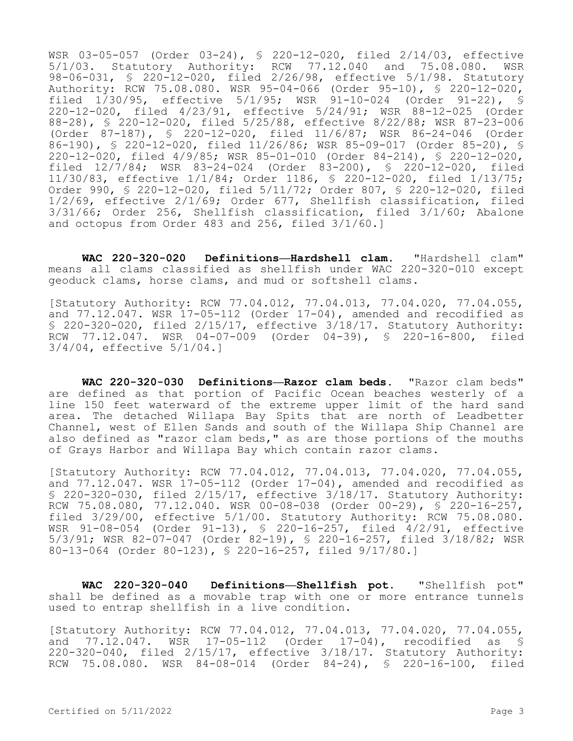WSR 03-05-057 (Order 03-24), § 220-12-020, filed 2/14/03, effective 5/1/03. Statutory Authority: RCW 77.12.040 and 75.08.080. WSR 98-06-031, § 220-12-020, filed 2/26/98, effective 5/1/98. Statutory Authority: RCW 75.08.080. WSR 95-04-066 (Order 95-10), § 220-12-020, filed 1/30/95, effective 5/1/95; WSR 91-10-024 (Order 91-22), § 220-12-020, filed 4/23/91, effective 5/24/91; WSR 88-12-025 (Order 88-28), § 220-12-020, filed 5/25/88, effective 8/22/88; WSR 87-23-006 (Order 87-187), § 220-12-020, filed 11/6/87; WSR 86-24-046 (Order 86-190), § 220-12-020, filed 11/26/86; WSR 85-09-017 (Order 85-20), § 220-12-020, filed 4/9/85; WSR 85-01-010 (Order 84-214), § 220-12-020, filed 12/7/84; WSR 83-24-024 (Order 83-200), § 220-12-020, filed 11/30/83, effective 1/1/84; Order 1186, § 220-12-020, filed 1/13/75; Order 990, § 220-12-020, filed 5/11/72; Order 807, § 220-12-020, filed 1/2/69, effective 2/1/69; Order 677, Shellfish classification, filed 3/31/66; Order 256, Shellfish classification, filed 3/1/60; Abalone and octopus from Order 483 and 256, filed 3/1/60.]

**WAC 220-320-020 Definitions—Hardshell clam.** "Hardshell clam" means all clams classified as shellfish under WAC 220-320-010 except geoduck clams, horse clams, and mud or softshell clams.

[Statutory Authority: RCW 77.04.012, 77.04.013, 77.04.020, 77.04.055, and 77.12.047. WSR 17-05-112 (Order 17-04), amended and recodified as § 220-320-020, filed 2/15/17, effective 3/18/17. Statutory Authority: RCW 77.12.047. WSR 04-07-009 (Order 04-39), § 220-16-800, filed 3/4/04, effective 5/1/04.]

**WAC 220-320-030 Definitions—Razor clam beds.** "Razor clam beds" are defined as that portion of Pacific Ocean beaches westerly of a line 150 feet waterward of the extreme upper limit of the hard sand area. The detached Willapa Bay Spits that are north of Leadbetter Channel, west of Ellen Sands and south of the Willapa Ship Channel are also defined as "razor clam beds," as are those portions of the mouths of Grays Harbor and Willapa Bay which contain razor clams.

[Statutory Authority: RCW 77.04.012, 77.04.013, 77.04.020, 77.04.055, and  $77.12.047$ . WSR  $17-05-112$  (Order  $17-04$ ), amended and recodified as § 220-320-030, filed 2/15/17, effective 3/18/17. Statutory Authority: RCW 75.08.080, 77.12.040. WSR 00-08-038 (Order 00-29),  $\overline{S}$  220-16-257, filed 3/29/00, effective 5/1/00. Statutory Authority: RCW 75.08.080. WSR 91-08-054 (Order 91-13), § 220-16-257, filed 4/2/91, effective 5/3/91; WSR 82-07-047 (Order 82-19), § 220-16-257, filed 3/18/82; WSR 80-13-064 (Order 80-123), § 220-16-257, filed 9/17/80.]

**WAC 220-320-040 Definitions—Shellfish pot.** "Shellfish pot" shall be defined as a movable trap with one or more entrance tunnels used to entrap shellfish in a live condition.

[Statutory Authority: RCW 77.04.012, 77.04.013, 77.04.020, 77.04.055, and 77.12.047. WSR 17-05-112 (Order 17-04), recodified as § 220-320-040, filed 2/15/17, effective 3/18/17. Statutory Authority: RCW 75.08.080. WSR 84-08-014 (Order 84-24), § 220-16-100, filed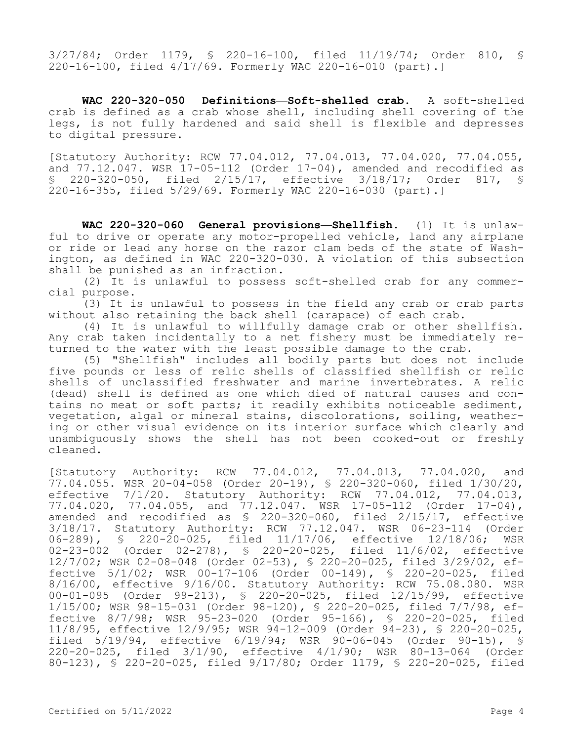3/27/84; Order 1179, § 220-16-100, filed 11/19/74; Order 810, § 220-16-100, filed 4/17/69. Formerly WAC 220-16-010 (part).]

**WAC 220-320-050 Definitions—Soft-shelled crab.** A soft-shelled crab is defined as a crab whose shell, including shell covering of the legs, is not fully hardened and said shell is flexible and depresses to digital pressure.

[Statutory Authority: RCW 77.04.012, 77.04.013, 77.04.020, 77.04.055, and 77.12.047. WSR 17-05-112 (Order 17-04), amended and recodified as § 220-320-050, filed 2/15/17, effective 3/18/17; Order 817, § 220-16-355, filed 5/29/69. Formerly WAC 220-16-030 (part).]

**WAC 220-320-060 General provisions—Shellfish.** (1) It is unlawful to drive or operate any motor-propelled vehicle, land any airplane or ride or lead any horse on the razor clam beds of the state of Washington, as defined in WAC 220-320-030. A violation of this subsection shall be punished as an infraction.

(2) It is unlawful to possess soft-shelled crab for any commercial purpose.

(3) It is unlawful to possess in the field any crab or crab parts without also retaining the back shell (carapace) of each crab.

(4) It is unlawful to willfully damage crab or other shellfish. Any crab taken incidentally to a net fishery must be immediately returned to the water with the least possible damage to the crab.

(5) "Shellfish" includes all bodily parts but does not include five pounds or less of relic shells of classified shellfish or relic shells of unclassified freshwater and marine invertebrates. A relic (dead) shell is defined as one which died of natural causes and contains no meat or soft parts; it readily exhibits noticeable sediment, vegetation, algal or mineral stains, discolorations, soiling, weathering or other visual evidence on its interior surface which clearly and unambiguously shows the shell has not been cooked-out or freshly cleaned.

[Statutory Authority: RCW 77.04.012, 77.04.013, 77.04.020, and  $77.04.055$ . WSR 20-04-058 (Order 20-19), \$ 220-320-060, filed  $1/30/20$ , effective 7/1/20. Statutory Authority: RCW 77.04.012, 77.04.013, 77.04.020, 77.04.055, and 77.12.047. WSR 17-05-112 (Order 17-04), amended and recodified as § 220-320-060, filed 2/15/17, effective 3/18/17. Statutory Authority: RCW 77.12.047. WSR 06-23-114 (Order 06-289), § 220-20-025, filed 11/17/06, effective 12/18/06; WSR 02-23-002 (Order 02-278), § 220-20-025, filed 11/6/02, effective 12/7/02; WSR 02-08-048 (Order 02-53), § 220-20-025, filed 3/29/02, effective 5/1/02; WSR 00-17-106 (Order 00-149), § 220-20-025, filed 8/16/00, effective 9/16/00. Statutory Authority: RCW 75.08.080. WSR 00-01-095 (Order 99-213), § 220-20-025, filed 12/15/99, effective 1/15/00; WSR 98-15-031 (Order 98-120), § 220-20-025, filed 7/7/98, effective 8/7/98; WSR 95-23-020 (Order 95-166), § 220-20-025, filed 11/8/95, effective 12/9/95; WSR 94-12-009 (Order 94-23), § 220-20-025, filed 5/19/94, effective 6/19/94; WSR 90-06-045 (Order 90-15), § 220-20-025, filed 3/1/90, effective 4/1/90; WSR 80-13-064 (Order 80-123), § 220-20-025, filed 9/17/80; Order 1179, § 220-20-025, filed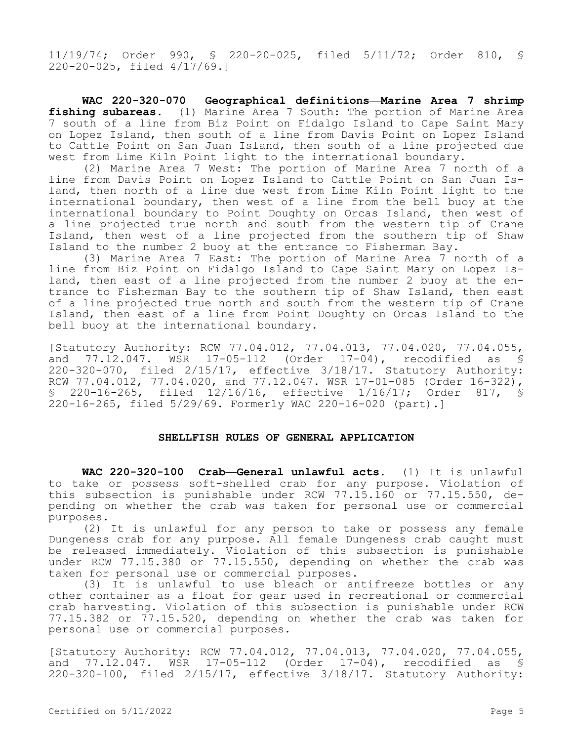11/19/74; Order 990, § 220-20-025, filed 5/11/72; Order 810, § 220-20-025, filed 4/17/69.]

**WAC 220-320-070 Geographical definitions—Marine Area 7 shrimp fishing subareas.** (1) Marine Area 7 South: The portion of Marine Area 7 south of a line from Biz Point on Fidalgo Island to Cape Saint Mary on Lopez Island, then south of a line from Davis Point on Lopez Island to Cattle Point on San Juan Island, then south of a line projected due west from Lime Kiln Point light to the international boundary.

(2) Marine Area 7 West: The portion of Marine Area 7 north of a line from Davis Point on Lopez Island to Cattle Point on San Juan Island, then north of a line due west from Lime Kiln Point light to the international boundary, then west of a line from the bell buoy at the international boundary to Point Doughty on Orcas Island, then west of a line projected true north and south from the western tip of Crane Island, then west of a line projected from the southern tip of Shaw Island to the number 2 buoy at the entrance to Fisherman Bay.

(3) Marine Area 7 East: The portion of Marine Area 7 north of a line from Biz Point on Fidalgo Island to Cape Saint Mary on Lopez Island, then east of a line projected from the number 2 buoy at the entrance to Fisherman Bay to the southern tip of Shaw Island, then east of a line projected true north and south from the western tip of Crane Island, then east of a line from Point Doughty on Orcas Island to the bell buoy at the international boundary.

[Statutory Authority: RCW 77.04.012, 77.04.013, 77.04.020, 77.04.055, and 77.12.047. WSR 17-05-112 (Order 17-04), recodified as § 220-320-070, filed 2/15/17, effective 3/18/17. Statutory Authority: RCW 77.04.012, 77.04.020, and 77.12.047. WSR 17-01-085 (Order 16-322), § 220-16-265, filed 12/16/16, effective 1/16/17; Order 817, § 220-16-265, filed 5/29/69. Formerly WAC 220-16-020 (part).]

### **SHELLFISH RULES OF GENERAL APPLICATION**

**WAC 220-320-100 Crab—General unlawful acts.** (1) It is unlawful to take or possess soft-shelled crab for any purpose. Violation of this subsection is punishable under RCW 77.15.160 or 77.15.550, depending on whether the crab was taken for personal use or commercial purposes.

(2) It is unlawful for any person to take or possess any female Dungeness crab for any purpose. All female Dungeness crab caught must be released immediately. Violation of this subsection is punishable under RCW 77.15.380 or 77.15.550, depending on whether the crab was taken for personal use or commercial purposes.

(3) It is unlawful to use bleach or antifreeze bottles or any other container as a float for gear used in recreational or commercial crab harvesting. Violation of this subsection is punishable under RCW 77.15.382 or 77.15.520, depending on whether the crab was taken for personal use or commercial purposes.

[Statutory Authority: RCW 77.04.012, 77.04.013, 77.04.020, 77.04.055, and 77.12.047. WSR 17-05-112 (Order 17-04), recodified as § 220-320-100, filed 2/15/17, effective 3/18/17. Statutory Authority: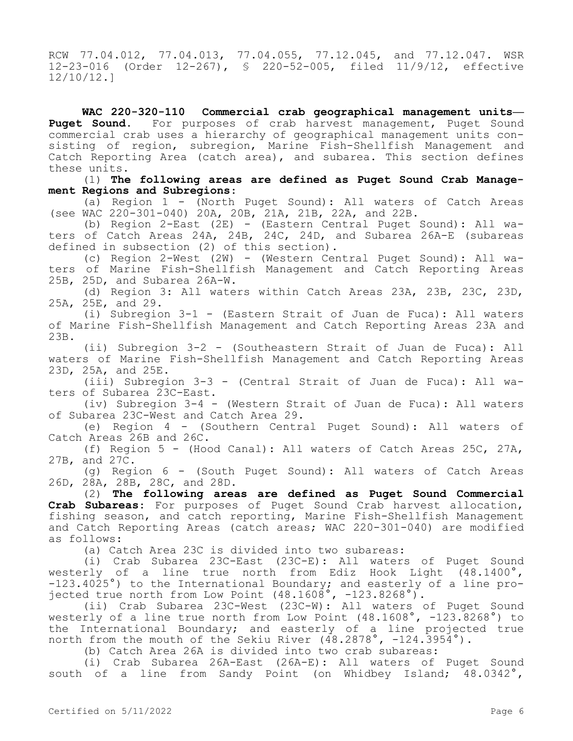RCW 77.04.012, 77.04.013, 77.04.055, 77.12.045, and 77.12.047. WSR 12-23-016 (Order 12-267), § 220-52-005, filed 11/9/12, effective 12/10/12.]

**WAC 220-320-110 Commercial crab geographical management units—** Puget Sound. For purposes of crab harvest management, Puget Sound commercial crab uses a hierarchy of geographical management units consisting of region, subregion, Marine Fish-Shellfish Management and Catch Reporting Area (catch area), and subarea. This section defines these units.

(1) **The following areas are defined as Puget Sound Crab Management Regions and Subregions**:

(a) Region  $1 -$  (North Puget Sound): All waters of Catch Areas (see WAC 220-301-040) 20A, 20B, 21A, 21B, 22A, and 22B.

(b) Region 2-East (2E) - (Eastern Central Puget Sound): All waters of Catch Areas 24A, 24B, 24C, 24D, and Subarea 26A-E (subareas defined in subsection (2) of this section).

(c) Region 2-West (2W) - (Western Central Puget Sound): All waters of Marine Fish-Shellfish Management and Catch Reporting Areas 25B, 25D, and Subarea 26A-W.

(d) Region 3: All waters within Catch Areas 23A, 23B, 23C, 23D, 25A, 25E, and 29.

(i) Subregion 3-1 - (Eastern Strait of Juan de Fuca): All waters of Marine Fish-Shellfish Management and Catch Reporting Areas 23A and 23B.

(ii) Subregion 3-2 - (Southeastern Strait of Juan de Fuca): All waters of Marine Fish-Shellfish Management and Catch Reporting Areas 23D, 25A, and 25E.

(iii) Subregion 3-3 - (Central Strait of Juan de Fuca): All waters of Subarea 23C-East.

(iv) Subregion 3-4 - (Western Strait of Juan de Fuca): All waters of Subarea 23C-West and Catch Area 29.

(e) Region 4 - (Southern Central Puget Sound): All waters of Catch Areas 26B and 26C.

(f) Region 5 - (Hood Canal): All waters of Catch Areas 25C, 27A, 27B, and 27C.

(g) Region 6 - (South Puget Sound): All waters of Catch Areas 26D, 28A, 28B, 28C, and 28D.

(2) **The following areas are defined as Puget Sound Commercial Crab Subareas**: For purposes of Puget Sound Crab harvest allocation, fishing season, and catch reporting, Marine Fish-Shellfish Management and Catch Reporting Areas (catch areas; WAC 220-301-040) are modified as follows:

(a) Catch Area 23C is divided into two subareas:

(i) Crab Subarea 23C-East (23C-E): All waters of Puget Sound westerly of a line true north from Ediz Hook Light (48.1400°, -123.4025°) to the International Boundary; and easterly of a line projected true north from Low Point (48.1608°, -123.8268°).

(ii) Crab Subarea 23C-West (23C-W): All waters of Puget Sound westerly of a line true north from Low Point (48.1608°, -123.8268°) to the International Boundary; and easterly of a line projected true north from the mouth of the Sekiu River (48.2878°, -124.3954°).

(b) Catch Area 26A is divided into two crab subareas:

(i) Crab Subarea 26A-East (26A-E): All waters of Puget Sound south of a line from Sandy Point (on Whidbey Island; 48.0342°,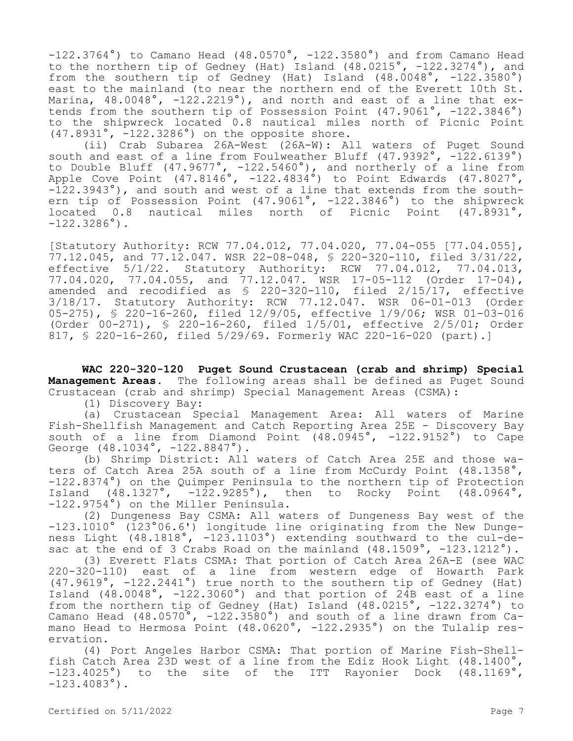$-122.3764^{\circ}$ ) to Camano Head (48.0570°,  $-122.3580^{\circ}$ ) and from Camano Head to the northern tip of Gedney (Hat) Island (48.0215°, -122.3274°), and from the southern tip of Gedney (Hat) Island (48.0048°, -122.3580°) east to the mainland (to near the northern end of the Everett 10th St. Marina,  $48.0048^\circ$ ,  $-122.2219^\circ$ ), and north and east of a line that extends from the southern tip of Possession Point (47.9061°, -122.3846°) to the shipwreck located 0.8 nautical miles north of Picnic Point (47.8931°, -122.3286°) on the opposite shore.

(ii) Crab Subarea 26A-West (26A-W): All waters of Puget Sound south and east of a line from Foulweather Bluff (47.9392°, -122.6139°) to Double Bluff (47.9677°, -122.5460°), and northerly of a line from Apple Cove Point (47.8146°, -122.4834°) to Point Edwards (47.8027°,  $-122.3943^{\circ}$ ), and south and west of a line that extends from the southern tip of Possession Point (47.9061°, -122.3846°) to the shipwreck located 0.8 nautical miles north of Picnic Point (47.8931°,  $-122.3286^\circ$ ).

[Statutory Authority: RCW 77.04.012, 77.04.020, 77.04-055 [77.04.055],  $77.12.045$ , and  $77.12.047$ . WSR 22-08-048, § 220-320-110, filed 3/31/22, effective 5/1/22. Statutory Authority: RCW 77.04.012, 77.04.013, 77.04.020, 77.04.055, and 77.12.047. WSR 17-05-112 (Order 17-04), amended and recodified as § 220-320-110, filed 2/15/17, effective 3/18/17. Statutory Authority: RCW 77.12.047. WSR 06-01-013 (Order 05-275), § 220-16-260, filed 12/9/05, effective 1/9/06; WSR 01-03-016 (Order 00-271), § 220-16-260, filed 1/5/01, effective 2/5/01; Order 817, § 220-16-260, filed 5/29/69. Formerly WAC 220-16-020 (part).]

**WAC 220-320-120 Puget Sound Crustacean (crab and shrimp) Special Management Areas.** The following areas shall be defined as Puget Sound Crustacean (crab and shrimp) Special Management Areas (CSMA):

(1) Discovery Bay:

(a) Crustacean Special Management Area: All waters of Marine Fish-Shellfish Management and Catch Reporting Area 25E - Discovery Bay south of a line from Diamond Point (48.0945°, -122.9152°) to Cape George (48.1034°, -122.8847°).

(b) Shrimp District: All waters of Catch Area 25E and those waters of Catch Area 25A south of a line from McCurdy Point (48.1358°, -122.8374°) on the Quimper Peninsula to the northern tip of Protection<br>Island (48.1327°, -122.9285°), then to Rocky Point (48.0964°, Island  $(48.1327°, -122.9285°)$ , then to Rocky Point -122.9754°) on the Miller Peninsula.

(2) Dungeness Bay CSMA: All waters of Dungeness Bay west of the -123.1010° (123°06.6') longitude line originating from the New Dungeness Light (48.1818°, -123.1103°) extending southward to the cul-desac at the end of 3 Crabs Road on the mainland (48.1509°, -123.1212°).

(3) Everett Flats CSMA: That portion of Catch Area 26A-E (see WAC 220-320-110) east of a line from western edge of Howarth Park  $(47.9619°, -122.2441°)$  true north to the southern tip of Gedney (Hat) Island  $(48.0048^\circ, -122.3060^\circ)$  and that portion of 24B east of a line from the northern tip of Gedney (Hat) Island (48.0215°, -122.3274°) to Camano Head  $(48.0570^{\circ}, -122.3580^{\circ})$  and south of a line drawn from Camano Head to Hermosa Point (48.0620°, -122.2935°) on the Tulalip reservation.

(4) Port Angeles Harbor CSMA: That portion of Marine Fish-Shellfish Catch Area 23D west of a line from the Ediz Hook Light (48.1400°, -123.4025°) to the site of the ITT Rayonier Dock (48.1169°,  $-123.4083^\circ$ ).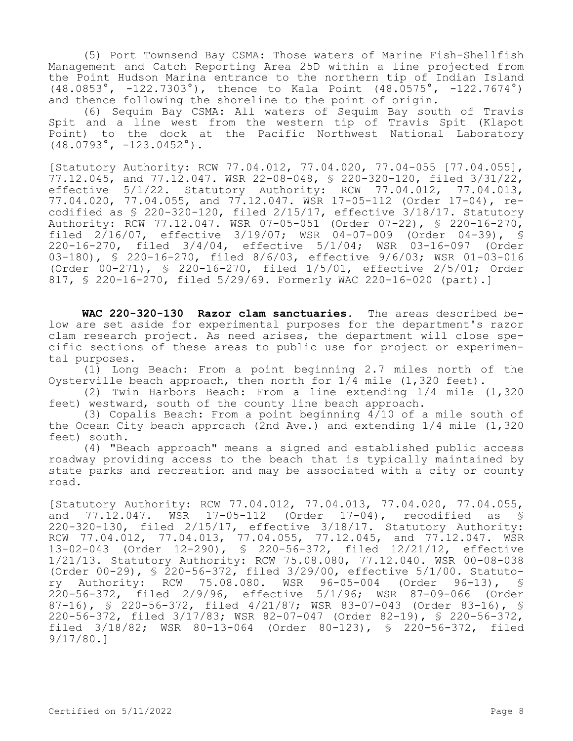(5) Port Townsend Bay CSMA: Those waters of Marine Fish-Shellfish Management and Catch Reporting Area 25D within a line projected from the Point Hudson Marina entrance to the northern tip of Indian Island (48.0853°, -122.7303°), thence to Kala Point (48.0575°, -122.7674°) and thence following the shoreline to the point of origin.

(6) Sequim Bay CSMA: All waters of Sequim Bay south of Travis Spit and a line west from the western tip of Travis Spit (Klapot Point) to the dock at the Pacific Northwest National Laboratory  $(48.0793^{\circ}, -123.0452^{\circ})$ .

[Statutory Authority: RCW 77.04.012, 77.04.020, 77.04-055 [77.04.055], 77.12.045, and 77.12.047. WSR 22-08-048, § 220-320-120, filed 3/31/22, effective 5/1/22. Statutory Authority: RCW 77.04.012, 77.04.013, 77.04.020, 77.04.055, and 77.12.047. WSR 17-05-112 (Order 17-04), recodified as § 220-320-120, filed 2/15/17, effective 3/18/17. Statutory Authority: RCW 77.12.047. WSR 07-05-051 (Order 07-22), § 220-16-270, filed 2/16/07, effective 3/19/07; WSR 04-07-009 (Order 04-39), § 220-16-270, filed 3/4/04, effective 5/1/04; WSR 03-16-097 (Order 03-180), § 220-16-270, filed 8/6/03, effective 9/6/03; WSR 01-03-016 (Order 00-271), § 220-16-270, filed 1/5/01, effective 2/5/01; Order 817, § 220-16-270, filed 5/29/69. Formerly WAC 220-16-020 (part).]

**WAC 220-320-130 Razor clam sanctuaries.** The areas described below are set aside for experimental purposes for the department's razor clam research project. As need arises, the department will close specific sections of these areas to public use for project or experimental purposes.

(1) Long Beach: From a point beginning 2.7 miles north of the Oysterville beach approach, then north for 1/4 mile (1,320 feet).

(2) Twin Harbors Beach: From a line extending 1/4 mile (1,320 feet) westward, south of the county line beach approach.

(3) Copalis Beach: From a point beginning 4/10 of a mile south of the Ocean City beach approach (2nd Ave.) and extending 1/4 mile (1,320 feet) south.

(4) "Beach approach" means a signed and established public access roadway providing access to the beach that is typically maintained by state parks and recreation and may be associated with a city or county road.

[Statutory Authority: RCW 77.04.012, 77.04.013, 77.04.020, 77.04.055, and 77.12.047. WSR 17-05-112 (Order 17-04), recodified as § 220-320-130, filed 2/15/17, effective 3/18/17. Statutory Authority: RCW 77.04.012, 77.04.013, 77.04.055, 77.12.045, and 77.12.047. WSR 13-02-043 (Order 12-290), § 220-56-372, filed 12/21/12, effective 1/21/13. Statutory Authority: RCW 75.08.080, 77.12.040. WSR 00-08-038 (Order 00-29), § 220-56-372, filed 3/29/00, effective 5/1/00. Statutory Authority: RCW 75.08.080. WSR 96-05-004 (Order 96-13), § 220-56-372, filed 2/9/96, effective 5/1/96; WSR 87-09-066 (Order 87-16), § 220-56-372, filed 4/21/87; WSR 83-07-043 (Order 83-16), § 220-56-372, filed 3/17/83; WSR 82-07-047 (Order 82-19), § 220-56-372, filed 3/18/82; WSR 80-13-064 (Order 80-123), § 220-56-372, filed 9/17/80.]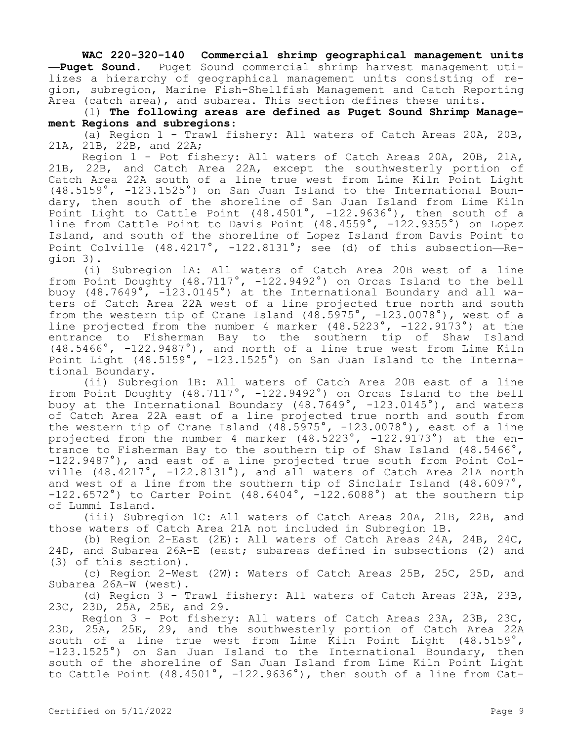**WAC 220-320-140 Commercial shrimp geographical management units —Puget Sound.** Puget Sound commercial shrimp harvest management utilizes a hierarchy of geographical management units consisting of region, subregion, Marine Fish-Shellfish Management and Catch Reporting Area (catch area), and subarea. This section defines these units.

(1) **The following areas are defined as Puget Sound Shrimp Management Regions and subregions**:

(a) Region 1 - Trawl fishery: All waters of Catch Areas 20A, 20B, 21A, 21B, 22B, and 22A;

Region 1 - Pot fishery: All waters of Catch Areas 20A, 20B, 21A, 21B, 22B, and Catch Area 22A, except the southwesterly portion of Catch Area 22A south of a line true west from Lime Kiln Point Light (48.5159°, -123.1525°) on San Juan Island to the International Boundary, then south of the shoreline of San Juan Island from Lime Kiln Point Light to Cattle Point (48.4501°, -122.9636°), then south of a line from Cattle Point to Davis Point (48.4559°, -122.9355°) on Lopez Island, and south of the shoreline of Lopez Island from Davis Point to Point Colville  $(48.4217^{\circ}, -122.8131^{\circ})$ ; see (d) of this subsection--Region 3).

(i) Subregion 1A: All waters of Catch Area 20B west of a line from Point Doughty (48.7117°, -122.9492°) on Orcas Island to the bell buoy (48.7649°, -123.0145°) at the International Boundary and all waters of Catch Area 22A west of a line projected true north and south from the western tip of Crane Island (48.5975°, -123.0078°), west of a line projected from the number 4 marker (48.5223°, -122.9173°) at the entrance to Fisherman Bay to the southern tip of Shaw Island (48.5466°, -122.9487°), and north of a line true west from Lime Kiln Point Light (48.5159°, -123.1525°) on San Juan Island to the International Boundary.

(ii) Subregion 1B: All waters of Catch Area 20B east of a line from Point Doughty (48.7117°, -122.9492°) on Orcas Island to the bell buoy at the International Boundary (48.7649°, -123.0145°), and waters of Catch Area 22A east of a line projected true north and south from the western tip of Crane Island (48.5975°, -123.0078°), east of a line projected from the number 4 marker (48.5223°, -122.9173°) at the entrance to Fisherman Bay to the southern tip of Shaw Island (48.5466°, -122.9487°), and east of a line projected true south from Point Colville  $(48.4217°, -122.8131°)$ , and all waters of Catch Area 21A north and west of a line from the southern tip of Sinclair Island (48.6097°,  $-122.6572°$ ) to Carter Point  $(48.6404°, -122.6088°)$  at the southern tip of Lummi Island.

(iii) Subregion 1C: All waters of Catch Areas 20A, 21B, 22B, and those waters of Catch Area 21A not included in Subregion 1B.

(b) Region 2-East (2E): All waters of Catch Areas 24A, 24B, 24C, 24D, and Subarea 26A-E (east; subareas defined in subsections (2) and (3) of this section).

(c) Region 2-West (2W): Waters of Catch Areas 25B, 25C, 25D, and Subarea 26A-W (west).

(d) Region 3 - Trawl fishery: All waters of Catch Areas 23A, 23B, 23C, 23D, 25A, 25E, and 29.

Region 3 - Pot fishery: All waters of Catch Areas 23A, 23B, 23C, 23D, 25A, 25E, 29, and the southwesterly portion of Catch Area 22A south of a line true west from Lime Kiln Point Light (48.5159°, -123.1525°) on San Juan Island to the International Boundary, then south of the shoreline of San Juan Island from Lime Kiln Point Light to Cattle Point (48.4501°, -122.9636°), then south of a line from Cat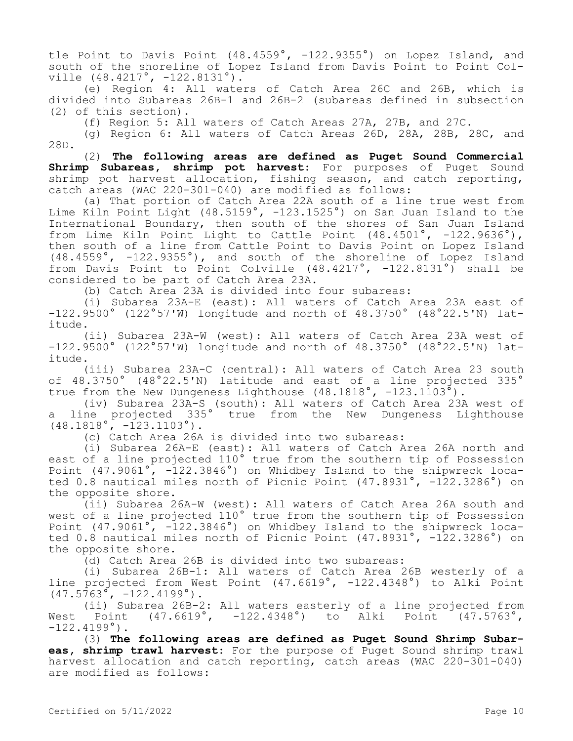tle Point to Davis Point (48.4559°, -122.9355°) on Lopez Island, and south of the shoreline of Lopez Island from Davis Point to Point Colville (48.4217°, -122.8131°).

(e) Region 4: All waters of Catch Area 26C and 26B, which is divided into Subareas 26B-1 and 26B-2 (subareas defined in subsection (2) of this section).

(f) Region 5: All waters of Catch Areas 27A, 27B, and 27C.

(g) Region 6: All waters of Catch Areas 26D, 28A, 28B, 28C, and 28D.

(2) **The following areas are defined as Puget Sound Commercial Shrimp Subareas, shrimp pot harvest**: For purposes of Puget Sound shrimp pot harvest allocation, fishing season, and catch reporting, catch areas (WAC 220-301-040) are modified as follows:

(a) That portion of Catch Area 22A south of a line true west from Lime Kiln Point Light (48.5159°, -123.1525°) on San Juan Island to the International Boundary, then south of the shores of San Juan Island from Lime Kiln Point Light to Cattle Point (48.4501°, -122.9636°), then south of a line from Cattle Point to Davis Point on Lopez Island (48.4559°, -122.9355°), and south of the shoreline of Lopez Island from Davis Point to Point Colville (48.4217°, -122.8131°) shall be considered to be part of Catch Area 23A.

(b) Catch Area 23A is divided into four subareas:

(i) Subarea 23A-E (east): All waters of Catch Area 23A east of -122.9500° (122°57'W) longitude and north of 48.3750° (48°22.5'N) latitude.

(ii) Subarea 23A-W (west): All waters of Catch Area 23A west of -122.9500° (122°57'W) longitude and north of 48.3750° (48°22.5'N) latitude.

(iii) Subarea 23A-C (central): All waters of Catch Area 23 south of 48.3750° (48°22.5'N) latitude and east of a line projected 335° true from the New Dungeness Lighthouse  $(48.1818^\circ, -123.1103^\circ)$ .

(iv) Subarea 23A-S (south): All waters of Catch Area 23A west of a line projected 335° true from the New Dungeness Lighthouse  $(48.1818^{\circ}, -123.1103^{\circ}).$ 

(c) Catch Area 26A is divided into two subareas:

(i) Subarea 26A-E (east): All waters of Catch Area 26A north and east of a line projected 110° true from the southern tip of Possession Point (47.9061°, -122.3846°) on Whidbey Island to the shipwreck located 0.8 nautical miles north of Picnic Point (47.8931°, -122.3286°) on the opposite shore.

(ii) Subarea 26A-W (west): All waters of Catch Area 26A south and west of a line projected 110° true from the southern tip of Possession Point (47.9061°, -122.3846°) on Whidbey Island to the shipwreck located 0.8 nautical miles north of Picnic Point (47.8931°, -122.3286°) on the opposite shore.

(d) Catch Area 26B is divided into two subareas:

(i) Subarea 26B-1: All waters of Catch Area 26B westerly of a line projected from West Point (47.6619°, -122.4348°) to Alki Point  $(47.5763^{\circ}, -122.4199^{\circ})$ .

(ii) Subarea 26B-2: All waters easterly of a line projected from West Point (47.6619°, -122.4348°) to Alki Point (47.5763°,  $-122.4199°$ .

(3) **The following areas are defined as Puget Sound Shrimp Subareas, shrimp trawl harvest**: For the purpose of Puget Sound shrimp trawl harvest allocation and catch reporting, catch areas (WAC 220-301-040) are modified as follows: